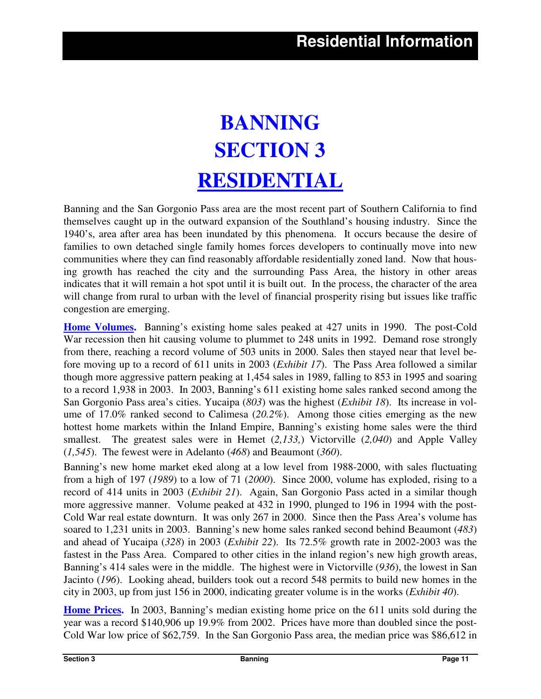# **BANNING SECTION 3 RESIDENTIAL**

Banning and the San Gorgonio Pass area are the most recent part of Southern California to find themselves caught up in the outward expansion of the Southland's housing industry. Since the 1940's, area after area has been inundated by this phenomena. It occurs because the desire of families to own detached single family homes forces developers to continually move into new communities where they can find reasonably affordable residentially zoned land. Now that housing growth has reached the city and the surrounding Pass Area, the history in other areas indicates that it will remain a hot spot until it is built out. In the process, the character of the area will change from rural to urban with the level of financial prosperity rising but issues like traffic congestion are emerging.

**Home Volumes.** Banning's existing home sales peaked at 427 units in 1990. The post-Cold War recession then hit causing volume to plummet to 248 units in 1992. Demand rose strongly from there, reaching a record volume of 503 units in 2000. Sales then stayed near that level before moving up to a record of 611 units in 2003 (*Exhibit 17*). The Pass Area followed a similar though more aggressive pattern peaking at 1,454 sales in 1989, falling to 853 in 1995 and soaring to a record 1,938 in 2003. In 2003, Banning's 611 existing home sales ranked second among the San Gorgonio Pass area's cities. Yucaipa (*803*) was the highest (*Exhibit 18*). Its increase in volume of 17.0% ranked second to Calimesa (*20.2%*). Among those cities emerging as the new hottest home markets within the Inland Empire, Banning's existing home sales were the third smallest. The greatest sales were in Hemet (*2,133,*) Victorville (*2,040*) and Apple Valley (*1,545*). The fewest were in Adelanto (*468*) and Beaumont (*360*).

Banning's new home market eked along at a low level from 1988-2000, with sales fluctuating from a high of 197 (*1989*) to a low of 71 (*2000*). Since 2000, volume has exploded, rising to a record of 414 units in 2003 (*Exhibit 21*). Again, San Gorgonio Pass acted in a similar though more aggressive manner. Volume peaked at 432 in 1990, plunged to 196 in 1994 with the post-Cold War real estate downturn. It was only 267 in 2000. Since then the Pass Area's volume has soared to 1,231 units in 2003. Banning's new home sales ranked second behind Beaumont (*483*) and ahead of Yucaipa (*328*) in 2003 (*Exhibit 22*). Its 72.5% growth rate in 2002-2003 was the fastest in the Pass Area. Compared to other cities in the inland region's new high growth areas, Banning's 414 sales were in the middle. The highest were in Victorville (*936*), the lowest in San Jacinto (*196*). Looking ahead, builders took out a record 548 permits to build new homes in the city in 2003, up from just 156 in 2000, indicating greater volume is in the works (*Exhibit 40*).

**Home Prices.** In 2003, Banning's median existing home price on the 611 units sold during the year was a record \$140,906 up 19.9% from 2002. Prices have more than doubled since the post-Cold War low price of \$62,759. In the San Gorgonio Pass area, the median price was \$86,612 in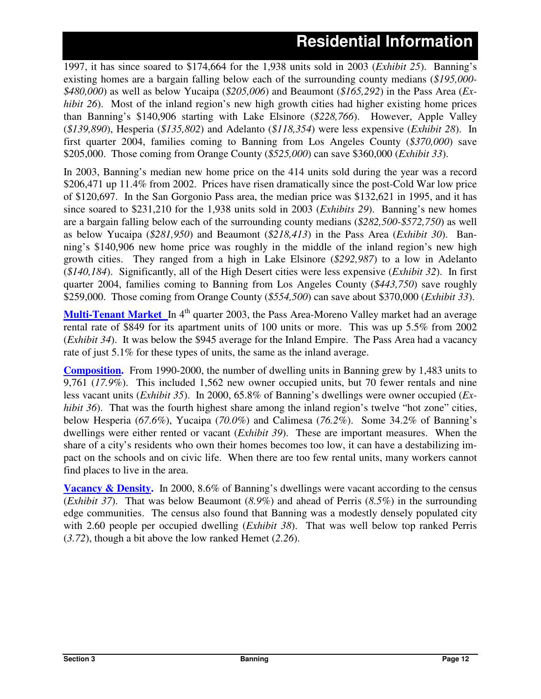1997, it has since soared to \$174,664 for the 1,938 units sold in 2003 (*Exhibit 25*). Banning's existing homes are a bargain falling below each of the surrounding county medians (*\$195,000- \$480,000*) as well as below Yucaipa (*\$205,006*) and Beaumont (*\$165,292*) in the Pass Area (*Exhibit 26*). Most of the inland region's new high growth cities had higher existing home prices than Banning's \$140,906 starting with Lake Elsinore (*\$228,766*). However, Apple Valley (*\$139,890*), Hesperia (*\$135,802*) and Adelanto (*\$118,354*) were less expensive (*Exhibit 28*). In first quarter 2004, families coming to Banning from Los Angeles County (*\$370,000*) save \$205,000. Those coming from Orange County (*\$525,000*) can save \$360,000 (*Exhibit 33*).

In 2003, Banning's median new home price on the 414 units sold during the year was a record \$206,471 up 11.4% from 2002. Prices have risen dramatically since the post-Cold War low price of \$120,697. In the San Gorgonio Pass area, the median price was \$132,621 in 1995, and it has since soared to \$231,210 for the 1,938 units sold in 2003 (*Exhibits 29*). Banning's new homes are a bargain falling below each of the surrounding county medians (*\$282,500-\$572,750*) as well as below Yucaipa (*\$281,950*) and Beaumont (*\$218,413*) in the Pass Area (*Exhibit 30*). Banning's \$140,906 new home price was roughly in the middle of the inland region's new high growth cities. They ranged from a high in Lake Elsinore (*\$292,987*) to a low in Adelanto (*\$140,184*). Significantly, all of the High Desert cities were less expensive (*Exhibit 32*). In first quarter 2004, families coming to Banning from Los Angeles County (*\$443,750*) save roughly \$259,000. Those coming from Orange County (*\$554,500*) can save about \$370,000 (*Exhibit 33*).

**Multi-Tenant Market** In 4<sup>th</sup> quarter 2003, the Pass Area-Moreno Valley market had an average rental rate of \$849 for its apartment units of 100 units or more. This was up 5.5% from 2002 (*Exhibit 34*). It was below the \$945 average for the Inland Empire. The Pass Area had a vacancy rate of just 5.1% for these types of units, the same as the inland average.

**Composition.** From 1990-2000, the number of dwelling units in Banning grew by 1,483 units to 9,761 (*17.9%*). This included 1,562 new owner occupied units, but 70 fewer rentals and nine less vacant units (*Exhibit 35*). In 2000, 65.8% of Banning's dwellings were owner occupied (*Exhibit* 36). That was the fourth highest share among the inland region's twelve "hot zone" cities, below Hesperia (*67.6%*), Yucaipa (*70.0%*) and Calimesa (*76.2%*). Some 34.2% of Banning's dwellings were either rented or vacant (*Exhibit 39*). These are important measures. When the share of a city's residents who own their homes becomes too low, it can have a destabilizing impact on the schools and on civic life. When there are too few rental units, many workers cannot find places to live in the area.

**Vacancy & Density.** In 2000, 8.6% of Banning's dwellings were vacant according to the census (*Exhibit 37*). That was below Beaumont (*8.9%*) and ahead of Perris (*8.5%*) in the surrounding edge communities. The census also found that Banning was a modestly densely populated city with 2.60 people per occupied dwelling (*Exhibit 38*). That was well below top ranked Perris (*3.72*), though a bit above the low ranked Hemet (*2.26*).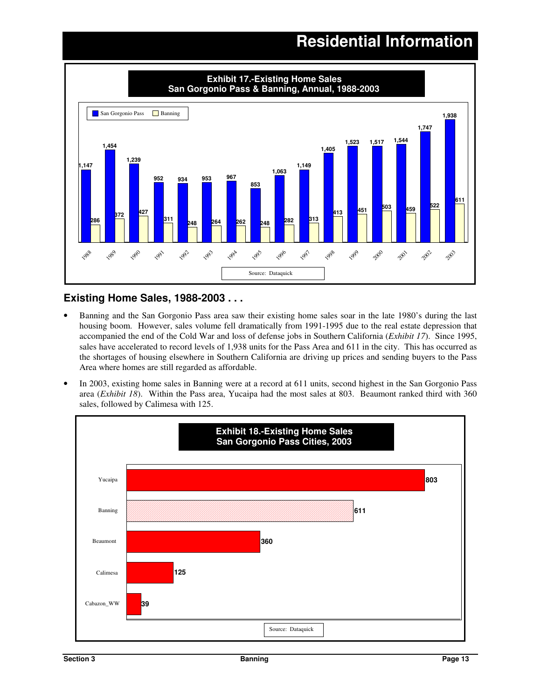

### **Existing Home Sales, 1988-2003 . . .**

- Banning and the San Gorgonio Pass area saw their existing home sales soar in the late 1980's during the last housing boom. However, sales volume fell dramatically from 1991-1995 due to the real estate depression that accompanied the end of the Cold War and loss of defense jobs in Southern California (*Exhibit 17*). Since 1995, sales have accelerated to record levels of 1,938 units for the Pass Area and 611 in the city. This has occurred as the shortages of housing elsewhere in Southern California are driving up prices and sending buyers to the Pass Area where homes are still regarded as affordable.
- In 2003, existing home sales in Banning were at a record at 611 units, second highest in the San Gorgonio Pass area (*Exhibit 18*). Within the Pass area, Yucaipa had the most sales at 803. Beaumont ranked third with 360 sales, followed by Calimesa with 125.

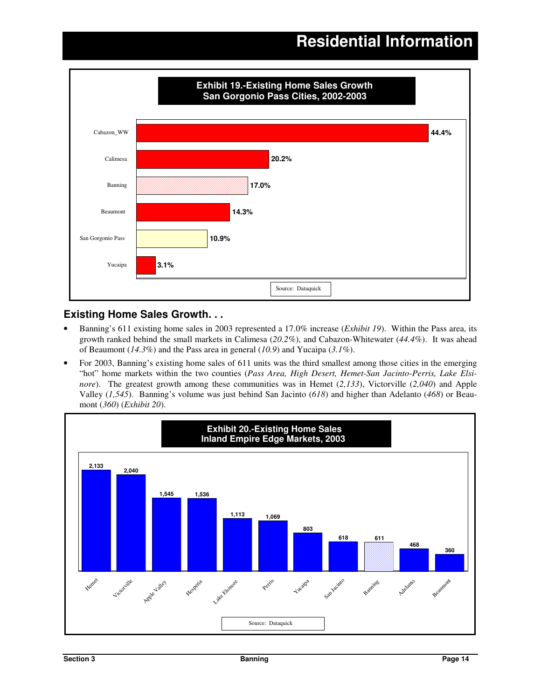

### **Existing Home Sales Growth. . .**

- Banning's 611 existing home sales in 2003 represented a 17.0% increase (*Exhibit 19*). Within the Pass area, its growth ranked behind the small markets in Calimesa (*20.2%*), and Cabazon-Whitewater (*44.4%*). It was ahead of Beaumont (*14.3%*) and the Pass area in general (*10.9*) and Yucaipa (*3.1%*).
- For 2003, Banning's existing home sales of 611 units was the third smallest among those cities in the emerging "hot" home markets within the two counties (*Pass Area, High Desert, Hemet-San Jacinto-Perris, Lake Elsinore*). The greatest growth among these communities was in Hemet (*2,133*), Victorville (*2,040*) and Apple Valley (*1,545*). Banning's volume was just behind San Jacinto (*618*) and higher than Adelanto (*468*) or Beaumont (*360*) (*Exhibit 20*).

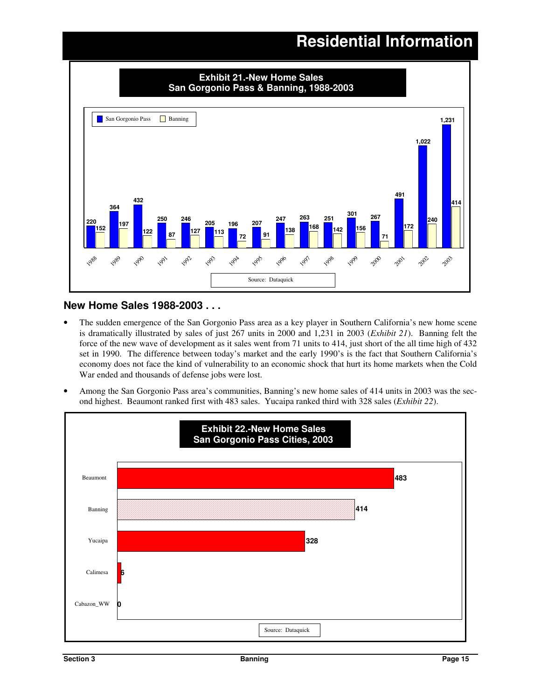

#### **New Home Sales 1988-2003 . . .**

- The sudden emergence of the San Gorgonio Pass area as a key player in Southern California's new home scene is dramatically illustrated by sales of just 267 units in 2000 and 1,231 in 2003 (*Exhibit 21*). Banning felt the force of the new wave of development as it sales went from 71 units to 414, just short of the all time high of 432 set in 1990. The difference between today's market and the early 1990's is the fact that Southern California's economy does not face the kind of vulnerability to an economic shock that hurt its home markets when the Cold War ended and thousands of defense jobs were lost.
- Among the San Gorgonio Pass area's communities, Banning's new home sales of 414 units in 2003 was the second highest. Beaumont ranked first with 483 sales. Yucaipa ranked third with 328 sales (*Exhibit 22*).

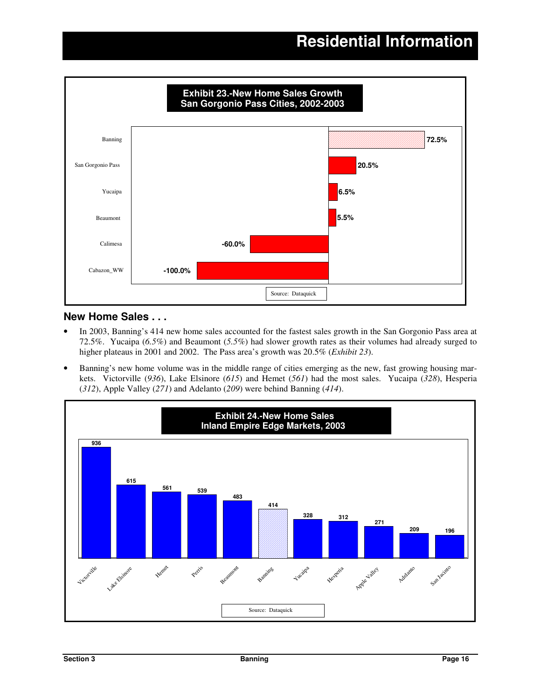

#### **New Home Sales . . .**

- In 2003, Banning's 414 new home sales accounted for the fastest sales growth in the San Gorgonio Pass area at 72.5%. Yucaipa (*6.5%*) and Beaumont (*5.5%*) had slower growth rates as their volumes had already surged to higher plateaus in 2001 and 2002. The Pass area's growth was 20.5% (*Exhibit 23*).
- Banning's new home volume was in the middle range of cities emerging as the new, fast growing housing markets. Victorville (*936*), Lake Elsinore (*615*) and Hemet (*561*) had the most sales. Yucaipa (*328*), Hesperia (*312*), Apple Valley (*271*) and Adelanto (*209*) were behind Banning (*414*).

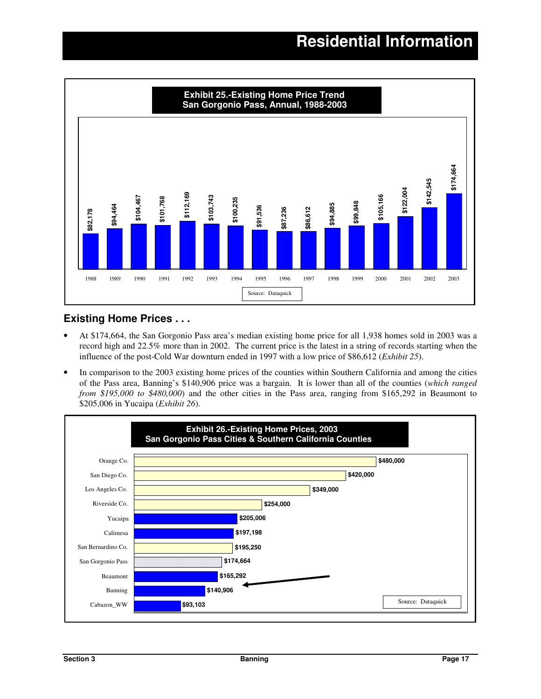

### **Existing Home Prices . . .**

- At \$174,664, the San Gorgonio Pass area's median existing home price for all 1,938 homes sold in 2003 was a record high and 22.5% more than in 2002. The current price is the latest in a string of records starting when the influence of the post-Cold War downturn ended in 1997 with a low price of \$86,612 (*Exhibit 25*).
- In comparison to the 2003 existing home prices of the counties within Southern California and among the cities of the Pass area, Banning's \$140,906 price was a bargain. It is lower than all of the counties (*which ranged from \$195,000 to \$480,000*) and the other cities in the Pass area, ranging from \$165,292 in Beaumont to \$205,006 in Yucaipa (*Exhibit 26*).

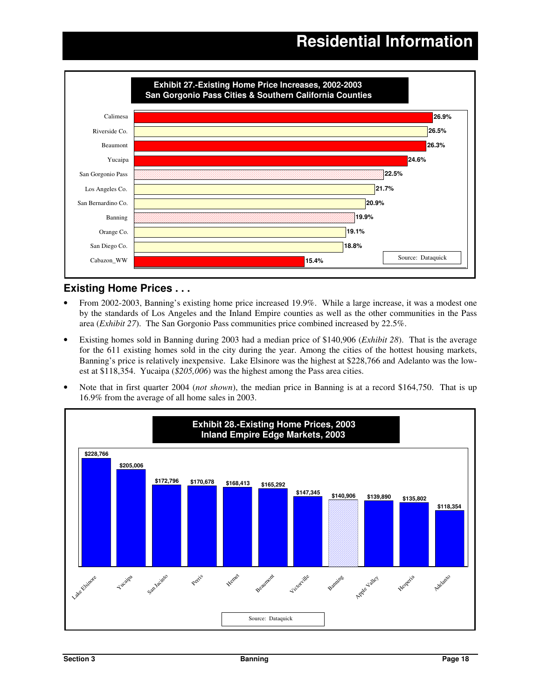

### **Existing Home Prices . . .**

- From 2002-2003, Banning's existing home price increased 19.9%. While a large increase, it was a modest one by the standards of Los Angeles and the Inland Empire counties as well as the other communities in the Pass area (*Exhibit 27*). The San Gorgonio Pass communities price combined increased by 22.5%.
- Existing homes sold in Banning during 2003 had a median price of \$140,906 (*Exhibit 28*). That is the average for the 611 existing homes sold in the city during the year. Among the cities of the hottest housing markets, Banning's price is relatively inexpensive. Lake Elsinore was the highest at \$228,766 and Adelanto was the lowest at \$118,354. Yucaipa (*\$205,006*) was the highest among the Pass area cities.
- Note that in first quarter 2004 (*not shown*), the median price in Banning is at a record \$164,750. That is up 16.9% from the average of all home sales in 2003.

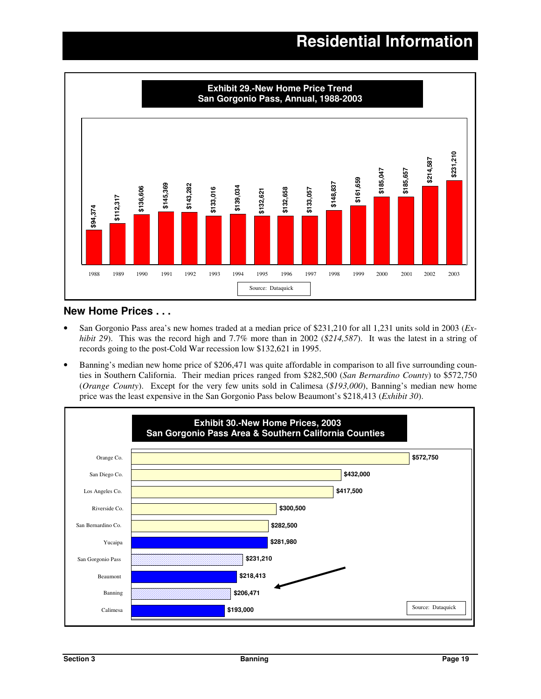

#### **New Home Prices . . .**

- San Gorgonio Pass area's new homes traded at a median price of \$231,210 for all 1,231 units sold in 2003 (*Exhibit 29*). This was the record high and 7.7% more than in 2002 (*\$214,587*). It was the latest in a string of records going to the post-Cold War recession low \$132,621 in 1995.
- Banning's median new home price of \$206,471 was quite affordable in comparison to all five surrounding counties in Southern California. Their median prices ranged from \$282,500 (*San Bernardino County*) to \$572,750 (*Orange County*). Except for the very few units sold in Calimesa (*\$193,000*), Banning's median new home price was the least expensive in the San Gorgonio Pass below Beaumont's \$218,413 (*Exhibit 30*).

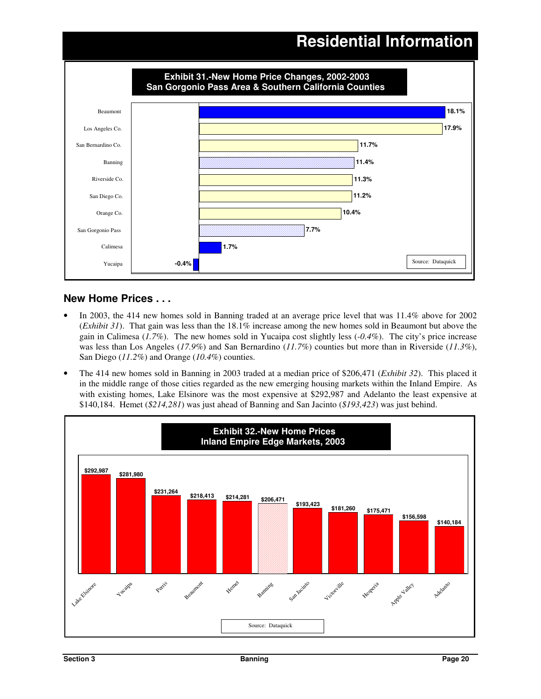

### **New Home Prices . . .**

- In 2003, the 414 new homes sold in Banning traded at an average price level that was 11.4% above for 2002 (*Exhibit 31*). That gain was less than the 18.1% increase among the new homes sold in Beaumont but above the gain in Calimesa (*1.7%*). The new homes sold in Yucaipa cost slightly less (*-0.4%*). The city's price increase was less than Los Angeles (*17.9%*) and San Bernardino (*11.7%*) counties but more than in Riverside (*11.3%*), San Diego (*11.2%*) and Orange (*10.4%*) counties.
- The 414 new homes sold in Banning in 2003 traded at a median price of \$206,471 (*Exhibit 32*). This placed it in the middle range of those cities regarded as the new emerging housing markets within the Inland Empire. As with existing homes, Lake Elsinore was the most expensive at \$292,987 and Adelanto the least expensive at \$140,184. Hemet (*\$214,281*) was just ahead of Banning and San Jacinto (*\$193,423*) was just behind.

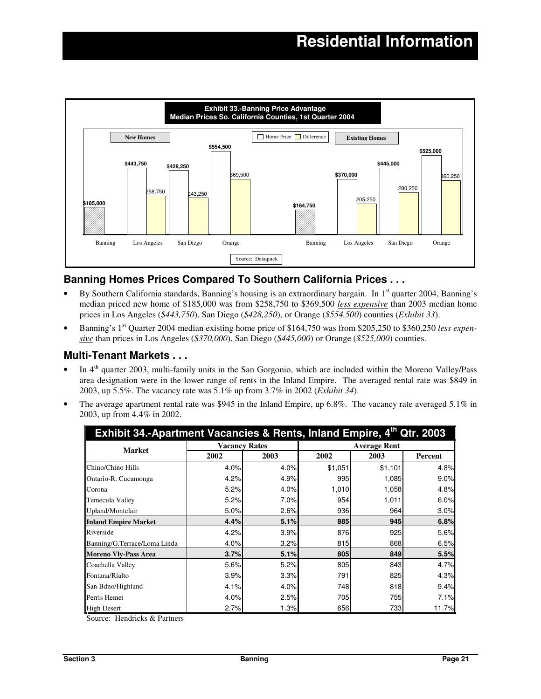

### **Banning Homes Prices Compared To Southern California Prices . . .**

- By Southern California standards, Banning's housing is an extraordinary bargain. In 1<sup>st</sup> quarter 2004, Banning's median priced new home of \$185,000 was from \$258,750 to \$369,500 *less expensive* than 2003 median home prices in Los Angeles (*\$443,750*), San Diego (*\$428,250*), or Orange (*\$554,500*) counties (*Exhibit 33*).
- Banning's 1<sup>st</sup> Quarter 2004 median existing home price of \$164,750 was from \$205,250 to \$360,250 *less expensive* than prices in Los Angeles (*\$370,000*), San Diego (*\$445,000*) or Orange (*\$525,000*) counties.

#### **Multi-Tenant Markets . . .**

- $\bullet$  In  $4^{\text{th}}$  quarter 2003, multi-family units in the San Gorgonio, which are included within the Moreno Valley/Pass area designation were in the lower range of rents in the Inland Empire. The averaged rental rate was \$849 in 2003, up 5.5%. The vacancy rate was 5.1% up from 3.7% in 2002 (*Exhibit 34*).
- The average apartment rental rate was \$945 in the Inland Empire, up 6.8%. The vacancy rate averaged 5.1% in 2003, up from 4.4% in 2002.

| Exhibit 34.-Apartment Vacancies & Rents, Inland Empire, 4th Qtr. 2003 |                      |      |                     |         |         |  |  |  |  |  |
|-----------------------------------------------------------------------|----------------------|------|---------------------|---------|---------|--|--|--|--|--|
| <b>Market</b>                                                         | <b>Vacancy Rates</b> |      | <b>Average Rent</b> |         |         |  |  |  |  |  |
|                                                                       | 2002                 | 2003 | 2002                | 2003    | Percent |  |  |  |  |  |
| Chino/Chino Hills                                                     | 4.0%                 | 4.0% | \$1,051             | \$1,101 | 4.8%    |  |  |  |  |  |
| Ontario-R. Cucamonga                                                  | 4.2%                 | 4.9% | 995                 | 1,085   | 9.0%    |  |  |  |  |  |
| Corona                                                                | 5.2%                 | 4.0% | 1,010               | 1,058   | 4.8%    |  |  |  |  |  |
| Temecula Valley                                                       | 5.2%                 | 7.0% | 954                 | 1,011   | 6.0%    |  |  |  |  |  |
| Upland/Montclair                                                      | 5.0%                 | 2.6% | 936                 | 964     | 3.0%    |  |  |  |  |  |
| <b>Inland Empire Market</b>                                           | 4.4%                 | 5.1% | 885                 | 945     | 6.8%    |  |  |  |  |  |
| Riverside                                                             | 4.2%                 | 3.9% | 876                 | 925     | 5.6%    |  |  |  |  |  |
| Banning/G.Terrace/Loma Linda                                          | 4.0%                 | 3.2% | 815                 | 868     | 6.5%    |  |  |  |  |  |
| <b>Moreno Vlv-Pass Area</b>                                           | 3.7%                 | 5.1% | 805                 | 849     | 5.5%    |  |  |  |  |  |
| Coachella Valley                                                      | 5.6%                 | 5.2% | 805                 | 843     | 4.7%    |  |  |  |  |  |
| Fontana/Rialto                                                        | 3.9%                 | 3.3% | 791                 | 825     | 4.3%    |  |  |  |  |  |
| San Bdno/Highland                                                     | 4.1%                 | 4.0% | 748                 | 818     | 9.4%    |  |  |  |  |  |
| Perris Hemet                                                          | 4.0%                 | 2.5% | 705                 | 755     | 7.1%    |  |  |  |  |  |
| <b>High Desert</b>                                                    | 2.7%                 | 1.3% | 656                 | 733     | 11.7%   |  |  |  |  |  |

Source: Hendricks & Partners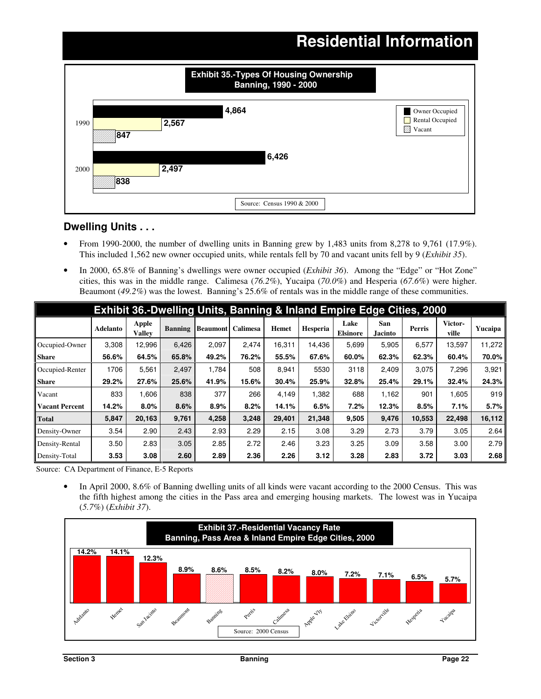### **Residential Information 847 838 2,567 2,497 4,864 6,426** 1990 2000 Thousands **Banning, 1990 - 2000** Owner Occupied Rental Occupied **Z** Vacant Source: Census 1990 & 2000 **Exhibit 35.-Types Of Housing Ownership**

### **Dwelling Units . . .**

- From 1990-2000, the number of dwelling units in Banning grew by 1,483 units from 8,278 to 9,761 (17.9*%*). This included 1,562 new owner occupied units, while rentals fell by 70 and vacant units fell by 9 (*Exhibit 35*).
- In 2000, 65.8% of Banning's dwellings were owner occupied (*Exhibit 36*). Among the "Edge" or "Hot Zone" cities, this was in the middle range. Calimesa (*76.2%*), Yucaipa (*70.0%*) and Hesperia (*67.6%*) were higher. Beaumont (*49.2%*) was the lowest. Banning's 25.6% of rentals was in the middle range of these communities.

| Exhibit 36.-Dwelling Units, Banning & Inland Empire Edge Cities, 2000 |          |                        |                |                          |       |              |          |                         |                       |               |                  |         |
|-----------------------------------------------------------------------|----------|------------------------|----------------|--------------------------|-------|--------------|----------|-------------------------|-----------------------|---------------|------------------|---------|
|                                                                       | Adelanto | Apple<br><b>Valley</b> | <b>Banning</b> | <b>Beaumont</b> Calimesa |       | <b>Hemet</b> | Hesperia | Lake<br><b>Elsinore</b> | San<br><b>Jacinto</b> | <b>Perris</b> | Victor-<br>ville | Yucaipa |
| Occupied-Owner                                                        | 3.308    | 12,996                 | 6,426          | 2,097                    | 2,474 | 16,311       | 14.436   | 5,699                   | 5,905                 | 6,577         | 13,597           | 11,272  |
| <b>Share</b>                                                          | 56.6%    | 64.5%                  | 65.8%          | 49.2%                    | 76.2% | 55.5%        | 67.6%    | 60.0%                   | 62.3%                 | 62.3%         | 60.4%            | 70.0%   |
| Occupied-Renter                                                       | 1706     | 5,561                  | 2,497          | 1,784                    | 508   | 8.941        | 5530     | 3118                    | 2,409                 | 3,075         | 7,296            | 3,921   |
| <b>Share</b>                                                          | 29.2%    | 27.6%                  | 25.6%          | 41.9%                    | 15.6% | 30.4%        | 25.9%    | 32.8%                   | 25.4%                 | 29.1%         | 32.4%            | 24.3%   |
| Vacant                                                                | 833      | 1,606                  | 838            | 377                      | 266   | 4,149        | 1,382    | 688                     | 1,162                 | 901           | 1,605            | 919     |
| <b>Vacant Percent</b>                                                 | 14.2%    | 8.0%                   | 8.6%           | 8.9%                     | 8.2%  | 14.1%        | 6.5%     | 7.2%                    | 12.3%                 | 8.5%          | 7.1%             | 5.7%    |
| <b>Total</b>                                                          | 5,847    | 20,163                 | 9,761          | 4,258                    | 3,248 | 29,401       | 21,348   | 9,505                   | 9,476                 | 10,553        | 22,498           | 16,112  |
| Density-Owner                                                         | 3.54     | 2.90                   | 2.43           | 2.93                     | 2.29  | 2.15         | 3.08     | 3.29                    | 2.73                  | 3.79          | 3.05             | 2.64    |
| Density-Rental                                                        | 3.50     | 2.83                   | 3.05           | 2.85                     | 2.72  | 2.46         | 3.23     | 3.25                    | 3.09                  | 3.58          | 3.00             | 2.79    |
| Density-Total                                                         | 3.53     | 3.08                   | 2.60           | 2.89                     | 2.36  | 2.26         | 3.12     | 3.28                    | 2.83                  | 3.72          | 3.03             | 2.68    |

Source: CA Department of Finance, E-5 Reports

• In April 2000, 8.6% of Banning dwelling units of all kinds were vacant according to the 2000 Census. This was the fifth highest among the cities in the Pass area and emerging housing markets. The lowest was in Yucaipa (*5.7%*) (*Exhibit 37*).